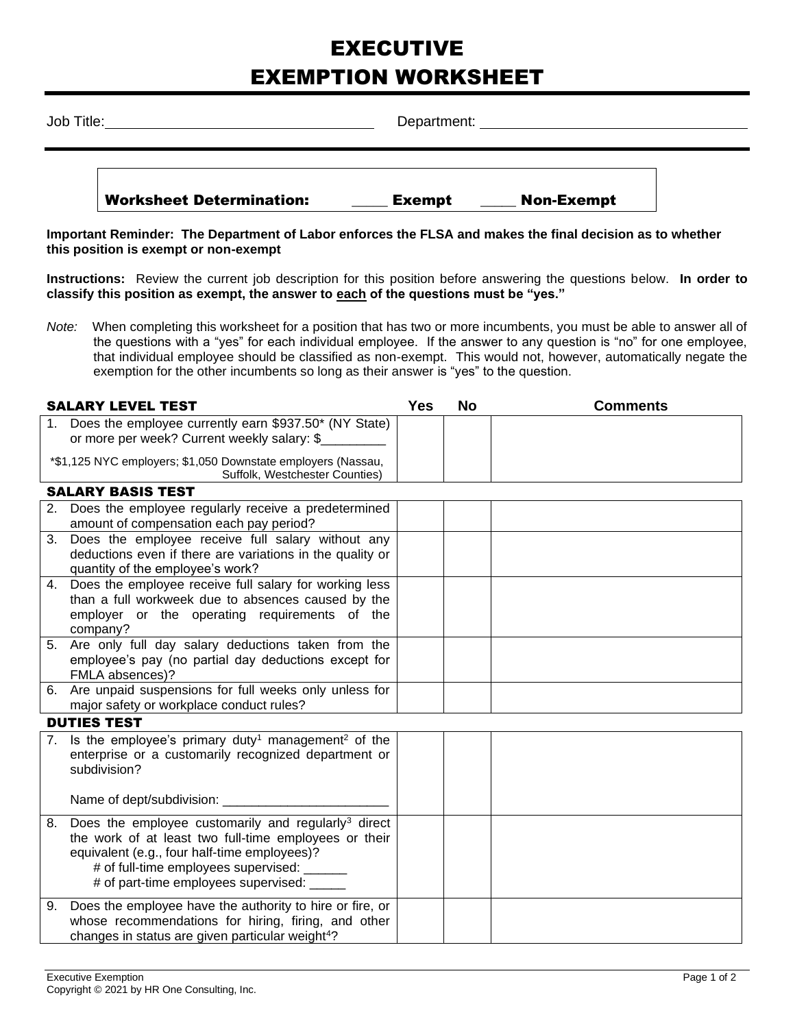## EXECUTIVE EXEMPTION WORKSHEET

| Job Title: |                                 | Department:   |                   |  |  |  |
|------------|---------------------------------|---------------|-------------------|--|--|--|
|            | <b>Worksheet Determination:</b> | <b>Exempt</b> | <b>Non-Exempt</b> |  |  |  |

**Important Reminder: The Department of Labor enforces the FLSA and makes the final decision as to whether this position is exempt or non-exempt**

**Instructions:** Review the current job description for this position before answering the questions below. **In order to classify this position as exempt, the answer to each of the questions must be "yes."**

*Note:* When completing this worksheet for a position that has two or more incumbents, you must be able to answer all of the questions with a "yes" for each individual employee. If the answer to any question is "no" for one employee, that individual employee should be classified as non-exempt. This would not, however, automatically negate the exemption for the other incumbents so long as their answer is "yes" to the question.

|    | <b>SALARY LEVEL TEST</b>                                                                                                                                                  | Yes | <b>No</b> | <b>Comments</b> |
|----|---------------------------------------------------------------------------------------------------------------------------------------------------------------------------|-----|-----------|-----------------|
|    | Does the employee currently earn \$937.50* (NY State)<br>or more per week? Current weekly salary: \$                                                                      |     |           |                 |
|    | *\$1,125 NYC employers; \$1,050 Downstate employers (Nassau,<br>Suffolk, Westchester Counties)                                                                            |     |           |                 |
|    | <b>SALARY BASIS TEST</b>                                                                                                                                                  |     |           |                 |
| 2. | Does the employee regularly receive a predetermined<br>amount of compensation each pay period?                                                                            |     |           |                 |
| 3. | Does the employee receive full salary without any<br>deductions even if there are variations in the quality or<br>quantity of the employee's work?                        |     |           |                 |
| 4. | Does the employee receive full salary for working less<br>than a full workweek due to absences caused by the<br>employer or the operating requirements of the<br>company? |     |           |                 |
| 5. | Are only full day salary deductions taken from the<br>employee's pay (no partial day deductions except for<br>FMLA absences)?                                             |     |           |                 |
| 6. | Are unpaid suspensions for full weeks only unless for<br>major safety or workplace conduct rules?                                                                         |     |           |                 |
|    | <b>DUTIES TEST</b>                                                                                                                                                        |     |           |                 |
|    | 7. Is the employee's primary duty <sup>1</sup> management <sup>2</sup> of the                                                                                             |     |           |                 |

| 7. | Is the employee's primary duty <sup>1</sup> management <sup>2</sup> of the<br>enterprise or a customarily recognized department or<br>subdivision?<br>Name of dept/subdivision:                                                                                 |  |  |
|----|-----------------------------------------------------------------------------------------------------------------------------------------------------------------------------------------------------------------------------------------------------------------|--|--|
| 8. | Does the employee customarily and regularly <sup>3</sup> direct<br>the work of at least two full-time employees or their<br>equivalent (e.g., four half-time employees)?<br># of full-time employees supervised: ______<br># of part-time employees supervised: |  |  |
| 9. | Does the employee have the authority to hire or fire, or<br>whose recommendations for hiring, firing, and other<br>changes in status are given particular weight <sup>4</sup> ?                                                                                 |  |  |